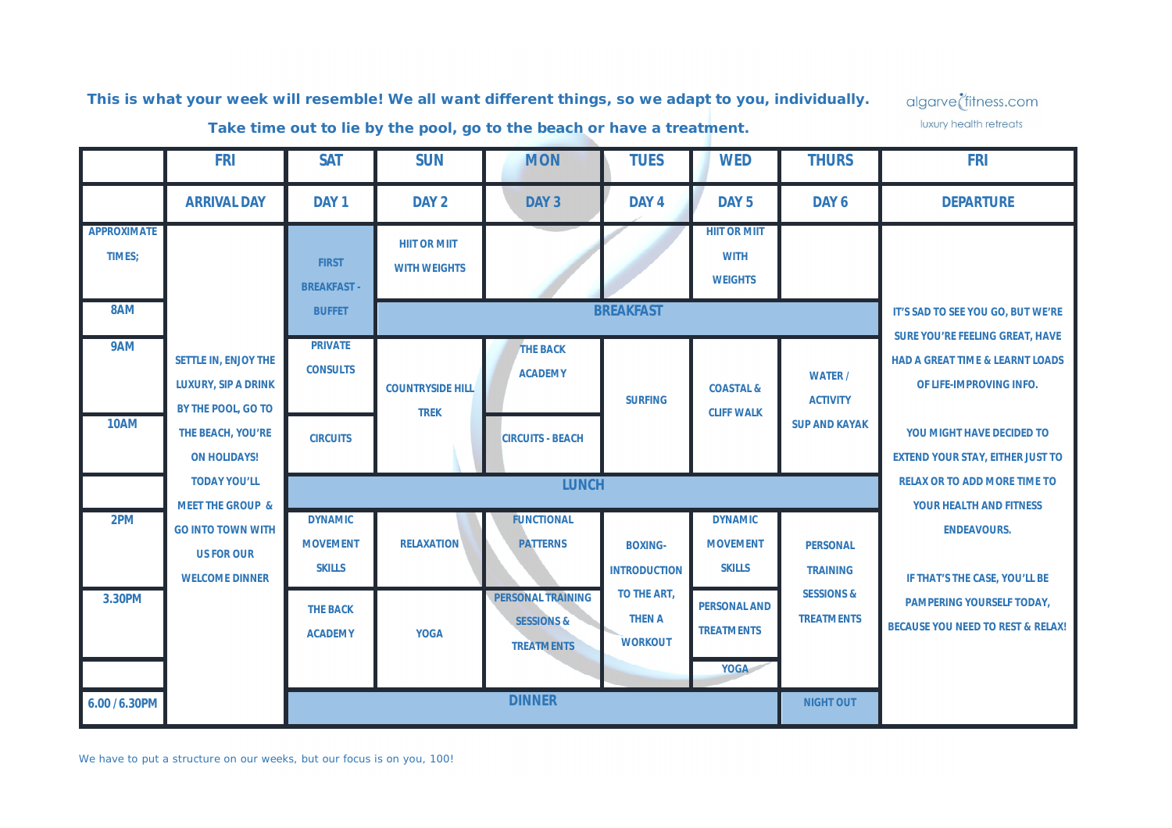*This is what your week will resemble! We all want different things, so we adapt to you, individually.*

algarve<sup>t</sup>fitness.com luxury health retreats

*Take time out to lie by the pool, go to the beach or have a treatment.*

|                                     | <b>FRI</b>                                                               | <b>SAT</b>                                          | <b>SUN</b>                                 | <b>MON</b>                                                             | <b>TUES</b>                                    | <b>WED</b>                                              | <b>THURS</b>                               | <b>FRI</b>                                                                                                      |
|-------------------------------------|--------------------------------------------------------------------------|-----------------------------------------------------|--------------------------------------------|------------------------------------------------------------------------|------------------------------------------------|---------------------------------------------------------|--------------------------------------------|-----------------------------------------------------------------------------------------------------------------|
|                                     | <b>ARRIVAL DAY</b>                                                       | DAY <sub>1</sub>                                    | DAY <sub>2</sub>                           | DAY 3                                                                  | DAY <sub>4</sub>                               | DAY <sub>5</sub>                                        | DAY 6                                      | <b>DEPARTURE</b>                                                                                                |
| <b>APPROXIMATE</b><br>TIMES;<br>8AM |                                                                          | <b>FIRST</b><br><b>BREAKFAST -</b><br><b>BUFFET</b> | <b>HIIT OR MIIT</b><br><b>WITH WEIGHTS</b> |                                                                        | <b>BREAKFAST</b>                               | <b>HIIT OR MIIT</b><br><b>WITH</b><br><b>WEIGHTS</b>    |                                            | IT'S SAD TO SEE YOU GO, BUT WE'RE                                                                               |
| 9AM                                 | SETTLE IN, ENJOY THE<br><b>LUXURY, SIP A DRINK</b><br>BY THE POOL, GO TO | <b>PRIVATE</b><br><b>CONSULTS</b>                   | <b>COUNTRYSIDE HILL</b><br><b>TREK</b>     | <b>THE BACK</b><br><b>ACADEMY</b>                                      | <b>SURFING</b>                                 | <b>COASTAL &amp;</b><br><b>CLIFF WALK</b>               | <b>WATER /</b><br><b>ACTIVITY</b>          | <b>SURE YOU'RE FEELING GREAT, HAVE</b><br><b>HAD A GREAT TIME &amp; LEARNT LOADS</b><br>OF LIFE-IMPROVING INFO. |
| <b>10AM</b>                         | THE BEACH, YOU'RE<br><b>ON HOLIDAYS!</b>                                 | <b>CIRCUITS</b>                                     |                                            | <b>CIRCUITS - BEACH</b>                                                |                                                |                                                         | <b>SUP AND KAYAK</b>                       | YOU MIGHT HAVE DECIDED TO<br><b>EXTEND YOUR STAY, EITHER JUST TO</b>                                            |
|                                     | <b>TODAY YOU'LL</b><br><b>MEET THE GROUP &amp;</b>                       | <b>LUNCH</b>                                        |                                            |                                                                        |                                                |                                                         |                                            | <b>RELAX OR TO ADD MORE TIME TO</b><br>YOUR HEALTH AND FITNESS                                                  |
| 2PM                                 | <b>GO INTO TOWN WITH</b><br><b>US FOR OUR</b><br><b>WELCOME DINNER</b>   | <b>DYNAMIC</b><br><b>MOVEMENT</b><br><b>SKILLS</b>  | <b>RELAXATION</b>                          | <b>FUNCTIONAL</b><br><b>PATTERNS</b>                                   | <b>BOXING-</b><br><b>INTRODUCTION</b>          | <b>DYNAMIC</b><br><b>MOVEMENT</b><br><b>SKILLS</b>      | <b>PERSONAL</b><br><b>TRAINING</b>         | <b>ENDEAVOURS.</b><br>IF THAT'S THE CASE, YOU'LL BE                                                             |
| 3.30PM                              |                                                                          | <b>THE BACK</b><br><b>ACADEMY</b>                   | <b>YOGA</b>                                | <b>PERSONAL TRAINING</b><br><b>SESSIONS &amp;</b><br><b>TREATMENTS</b> | TO THE ART,<br><b>THEN A</b><br><b>WORKOUT</b> | <b>PERSONAL AND</b><br><b>TREATMENTS</b><br><b>YOGA</b> | <b>SESSIONS &amp;</b><br><b>TREATMENTS</b> | <b>PAMPERING YOURSELF TODAY,</b><br><b>BECAUSE YOU NEED TO REST &amp; RELAX!</b>                                |
| 6.00 / 6.30 PM                      |                                                                          | <b>DINNER</b><br><b>NIGHT OUT</b>                   |                                            |                                                                        |                                                |                                                         |                                            |                                                                                                                 |